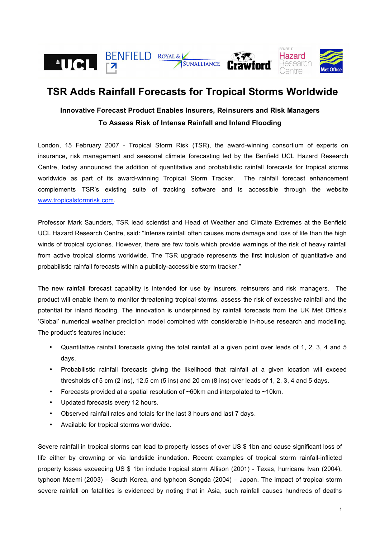

# **TSR Adds Rainfall Forecasts for Tropical Storms Worldwide**

## **Innovative Forecast Product Enables Insurers, Reinsurers and Risk Managers To Assess Risk of Intense Rainfall and Inland Flooding**

London, 15 February 2007 - Tropical Storm Risk (TSR), the award-winning consortium of experts on insurance, risk management and seasonal climate forecasting led by the Benfield UCL Hazard Research Centre, today announced the addition of quantitative and probabilistic rainfall forecasts for tropical storms worldwide as part of its award-winning Tropical Storm Tracker. The rainfall forecast enhancement complements TSR's existing suite of tracking software and is accessible through the website www.tropicalstormrisk.com.

Professor Mark Saunders, TSR lead scientist and Head of Weather and Climate Extremes at the Benfield UCL Hazard Research Centre, said: "Intense rainfall often causes more damage and loss of life than the high winds of tropical cyclones. However, there are few tools which provide warnings of the risk of heavy rainfall from active tropical storms worldwide. The TSR upgrade represents the first inclusion of quantitative and probabilistic rainfall forecasts within a publicly-accessible storm tracker."

The new rainfall forecast capability is intended for use by insurers, reinsurers and risk managers. The product will enable them to monitor threatening tropical storms, assess the risk of excessive rainfall and the potential for inland flooding. The innovation is underpinned by rainfall forecasts from the UK Met Office's 'Global' numerical weather prediction model combined with considerable in-house research and modelling. The product's features include:

- Quantitative rainfall forecasts giving the total rainfall at a given point over leads of 1, 2, 3, 4 and 5 days.
- Probabilistic rainfall forecasts giving the likelihood that rainfall at a given location will exceed thresholds of 5 cm (2 ins), 12.5 cm (5 ins) and 20 cm (8 ins) over leads of 1, 2, 3, 4 and 5 days.
- Forecasts provided at a spatial resolution of  $\sim 60$ km and interpolated to  $\sim 10$ km.
- Updated forecasts every 12 hours.
- Observed rainfall rates and totals for the last 3 hours and last 7 days.
- Available for tropical storms worldwide.

Severe rainfall in tropical storms can lead to property losses of over US \$ 1bn and cause significant loss of life either by drowning or via landslide inundation. Recent examples of tropical storm rainfall-inflicted property losses exceeding US \$ 1bn include tropical storm Allison (2001) - Texas, hurricane Ivan (2004), typhoon Maemi (2003) – South Korea, and typhoon Songda (2004) – Japan. The impact of tropical storm severe rainfall on fatalities is evidenced by noting that in Asia, such rainfall causes hundreds of deaths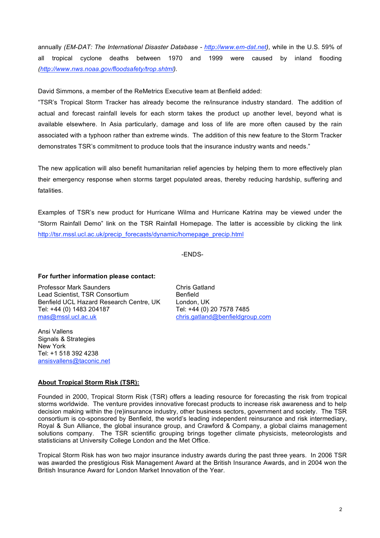annually *(EM-DAT: The International Disaster Database - http://www.em-dat.net),* while in the U.S. 59% of all tropical cyclone deaths between 1970 and 1999 were caused by inland flooding *(http://www.nws.noaa.gov/floodsafety/trop.shtml).*

David Simmons, a member of the ReMetrics Executive team at Benfield added:

"TSR's Tropical Storm Tracker has already become the re/insurance industry standard. The addition of actual and forecast rainfall levels for each storm takes the product up another level, beyond what is available elsewhere. In Asia particularly, damage and loss of life are more often caused by the rain associated with a typhoon rather than extreme winds. The addition of this new feature to the Storm Tracker demonstrates TSR's commitment to produce tools that the insurance industry wants and needs."

The new application will also benefit humanitarian relief agencies by helping them to more effectively plan their emergency response when storms target populated areas, thereby reducing hardship, suffering and fatalities.

Examples of TSR's new product for Hurricane Wilma and Hurricane Katrina may be viewed under the "Storm Rainfall Demo" link on the TSR Rainfall Homepage. The latter is accessible by clicking the link http://tsr.mssl.ucl.ac.uk/precip\_forecasts/dynamic/homepage\_precip.html

-ENDS-

### **For further information please contact:**

Professor Mark Saunders Chris Gatland Lead Scientist, TSR Consortium Benfield Benfield UCL Hazard Research Centre, UK London, UK Tel: +44 (0) 1483 204187 Tel: +44 (0) 20 7578 7485 mas@mssl.ucl.ac.uk chris.gatland@benfieldgroup.com

Ansi Vallens Signals & Strategies New York Tel: +1 518 392 4238 ansisvallens@taconic.net

### **About Tropical Storm Risk (TSR):**

Founded in 2000, Tropical Storm Risk (TSR) offers a leading resource for forecasting the risk from tropical storms worldwide. The venture provides innovative forecast products to increase risk awareness and to help decision making within the (re)insurance industry, other business sectors, government and society. The TSR consortium is co-sponsored by Benfield, the world's leading independent reinsurance and risk intermediary, Royal & Sun Alliance, the global insurance group, and Crawford & Company, a global claims management solutions company. The TSR scientific grouping brings together climate physicists, meteorologists and statisticians at University College London and the Met Office.

Tropical Storm Risk has won two major insurance industry awards during the past three years. In 2006 TSR was awarded the prestigious Risk Management Award at the British Insurance Awards, and in 2004 won the British Insurance Award for London Market Innovation of the Year.